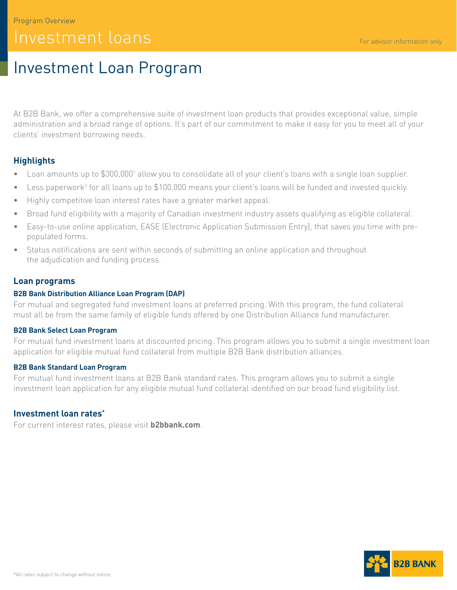# Investment Loan Program

At B2B Bank, we offer a comprehensive suite of investment loan products that provides exceptional value, simple administration and a broad range of options. It's part of our commitment to make it easy for you to meet all of your clients' investment borrowing needs.

# **Highlights**

- Loan amounts up to \$300,0001 allow you to consolidate all of your client's loans with a single loan supplier.
- Less paperwork<sup>2</sup> for all loans up to \$100,000 means your client's loans will be funded and invested quickly.
- Highly competitive loan interest rates have a greater market appeal.
- Broad fund eligibility with a majority of Canadian investment industry assets qualifying as eligible collateral.
- Easy-to-use online application, EASE (Electronic Application Submission Entry), that saves you time with prepopulated forms.
- Status notifications are sent within seconds of submitting an online application and throughout the adjudication and funding process.

## **Loan programs**

#### **B2B Bank Distribution Alliance Loan Program (DAP)**

For mutual and segregated fund investment loans at preferred pricing. With this program, the fund collateral must all be from the same family of eligible funds offered by one Distribution Alliance fund manufacturer.

#### **B2B Bank Select Loan Program**

For mutual fund investment loans at discounted pricing. This program allows you to submit a single investment loan application for eligible mutual fund collateral from multiple B2B Bank distribution alliances.

#### **B2B Bank Standard Loan Program**

For mutual fund investment loans at B2B Bank standard rates. This program allows you to submit a single investment loan application for any eligible mutual fund collateral identified on our broad fund eligibility list.

## **Investment loan rates\***

For current interest rates, please visit **[b2bbank.com](http://b2bbank.com)**.